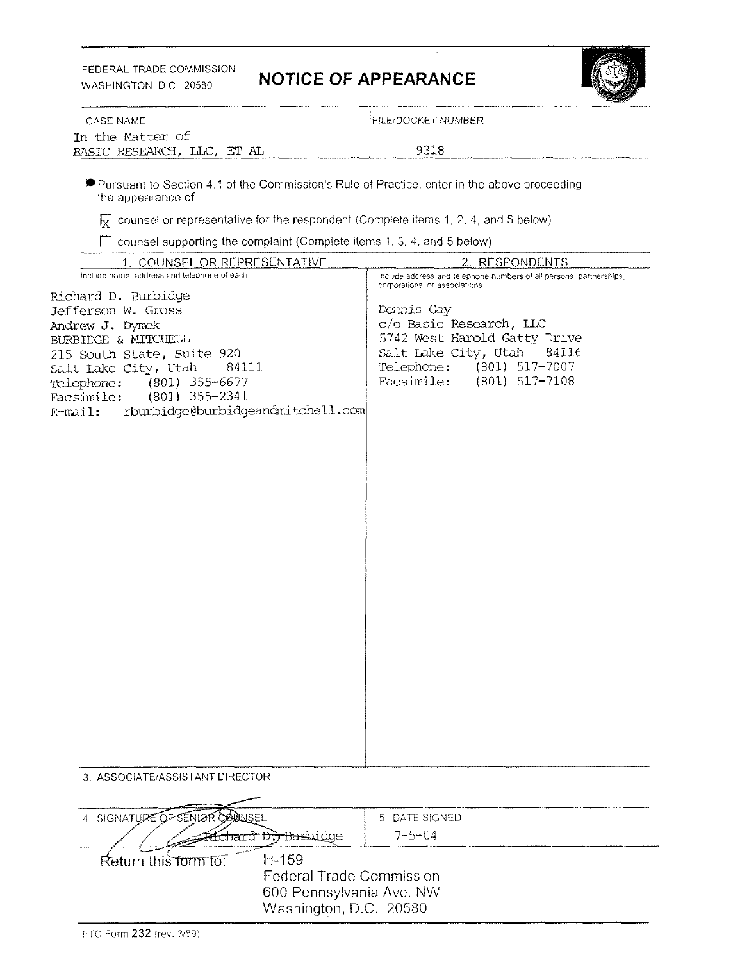FEDERAL TRADE COMMISSION

WASHINGTON, D.C. 20580 **NOTICE OF APPEARANCE** 



| <b>CASE NAME</b>                                                                                                                                                                                                                                                       | FILE/DOCKET NUMBER                                                                                                                                                    |
|------------------------------------------------------------------------------------------------------------------------------------------------------------------------------------------------------------------------------------------------------------------------|-----------------------------------------------------------------------------------------------------------------------------------------------------------------------|
| In the Matter of                                                                                                                                                                                                                                                       |                                                                                                                                                                       |
| BASIC RESEARCH, LLC, ET AL                                                                                                                                                                                                                                             | 9318                                                                                                                                                                  |
| Pursuant to Section 4.1 of the Commission's Rule of Practice, enter in the above proceeding<br>the appearance of                                                                                                                                                       |                                                                                                                                                                       |
| $\overline{X}$ counsel or representative for the respondent (Complete items 1, 2, 4, and 5 below)                                                                                                                                                                      |                                                                                                                                                                       |
| $\Box$ counsel supporting the complaint (Complete items 1, 3, 4, and 5 below)                                                                                                                                                                                          |                                                                                                                                                                       |
| 1. COUNSEL OR REPRESENTATIVE                                                                                                                                                                                                                                           | 2. RESPONDENTS                                                                                                                                                        |
| Include name, address and telephone of each                                                                                                                                                                                                                            | Include address and telephone numbers of all persons, partnerships,<br>corporations, or associations                                                                  |
| Richard D. Burbidge<br>Jefferson W. Gross<br>Andrew J. Dymek<br>BURBIDGE & MITCHELL<br>215 South State, Suite 920<br>Salt Lake City, Utah<br>84111<br>$(801)$ 355-6677<br>Telephone:<br>$(801)$ 355-2341<br>Facsimile:<br>rburbidge@burbidgeandmitchell.com<br>E-mail: | Dennis Gay<br>c/o Basic Research, LLC<br>5742 West Harold Gatty Drive<br>Salt Lake City, Utah<br>84116<br>Telephone: (801) 517-7007<br>Facsimile:<br>$(801)$ 517-7108 |
|                                                                                                                                                                                                                                                                        |                                                                                                                                                                       |
|                                                                                                                                                                                                                                                                        |                                                                                                                                                                       |
| 3. ASSOCIATE/ASSISTANT DIRECTOR                                                                                                                                                                                                                                        |                                                                                                                                                                       |
|                                                                                                                                                                                                                                                                        |                                                                                                                                                                       |

| 4. SIGNATURE OF SENIOR OPLINSEL                                                                |                                   | 5. DATE SIGNED |  |
|------------------------------------------------------------------------------------------------|-----------------------------------|----------------|--|
|                                                                                                | R <del>ichard D.) Bur</del> bidge | $7 - 5 - 04$   |  |
| $H-159$<br>Return this form to:<br><b>Federal Trade Commission</b><br>600 Pennsylvania Ave. NW |                                   |                |  |
|                                                                                                | Washington, D.C. 20580            |                |  |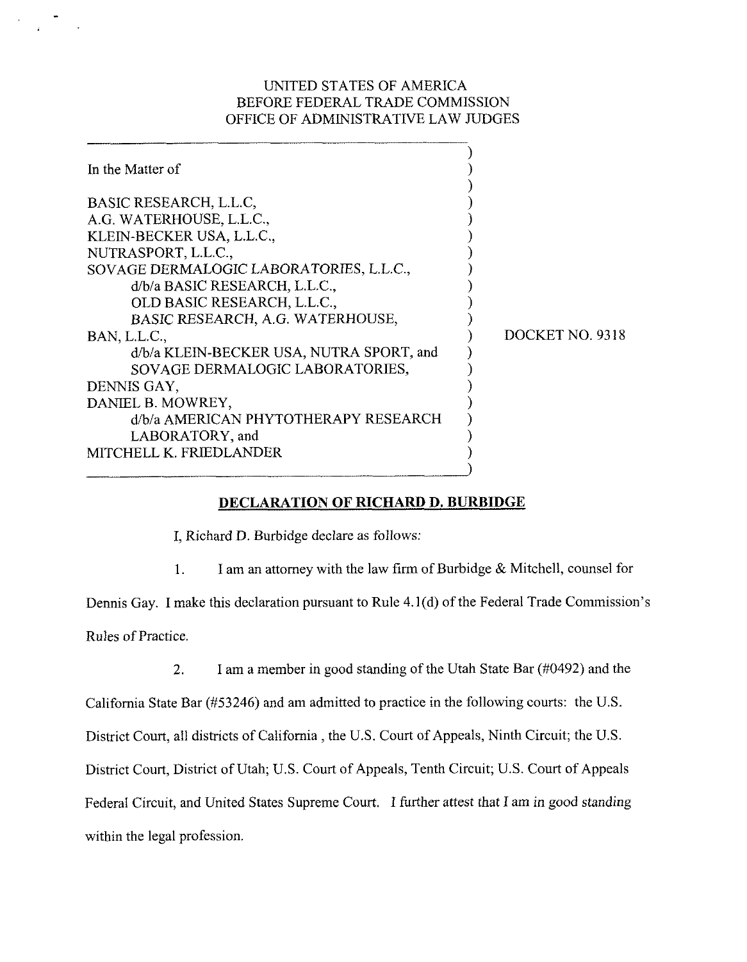### UNITED STATES OF AMERICA BEFORE FEDERAL TRADE COMMISSION OFFICE OF ADMINISTRATIVE LAW JUDGES

| In the Matter of                                                            |                 |
|-----------------------------------------------------------------------------|-----------------|
| BASIC RESEARCH, L.L.C,                                                      |                 |
| A.G. WATERHOUSE, L.L.C.,                                                    |                 |
| KLEIN-BECKER USA, L.L.C.<br>NUTRASPORT, L.L.C.,                             |                 |
| SOVAGE DERMALOGIC LABORATORIES, L.L.C.,                                     |                 |
| d/b/a BASIC RESEARCH, L.L.C.,<br>OLD BASIC RESEARCH, L.L.C.,                |                 |
| BASIC RESEARCH, A.G. WATERHOUSE,                                            |                 |
| BAN, L.L.C.,                                                                | DOCKET NO. 9318 |
| d/b/a KLEIN-BECKER USA, NUTRA SPORT, and<br>SOVAGE DERMALOGIC LABORATORIES, |                 |
| DENNIS GAY,                                                                 |                 |
| DANIEL B. MOWREY,                                                           |                 |
| d/b/a AMERICAN PHYTOTHERAPY RESEARCH                                        |                 |
| LABORATORY, and                                                             |                 |
| MITCHELL K. FRIEDLANDER                                                     |                 |
|                                                                             |                 |

# **DECLARATION OF RICHARD D. BURBIDGE**

I, Richard D. Burbidge declare as follows:

1. I am an attorney with the law firm of Burbidge & Mitchell, counsel for

Dennis Gay. I make this declaration pursuant to Rule 4.l(d) of the Federal Trade Commission's

Rules of Practice.

2. I am a member in good standing of the Utah State Bar (#0492) and the

California State Bar (#53246) and am admitted to practice in the following courts: the U.S.

District Court, all districts of California , the US. Court of Appeals, Ninth Circuit; the U.S.

District Court, District of Utah; U.S. Court of Appeals, Tenth Circuit; U.S. Court of Appeals

Federal Circuit, and United States Supreme Court. I further attest that I am in good standing

within the legal profession.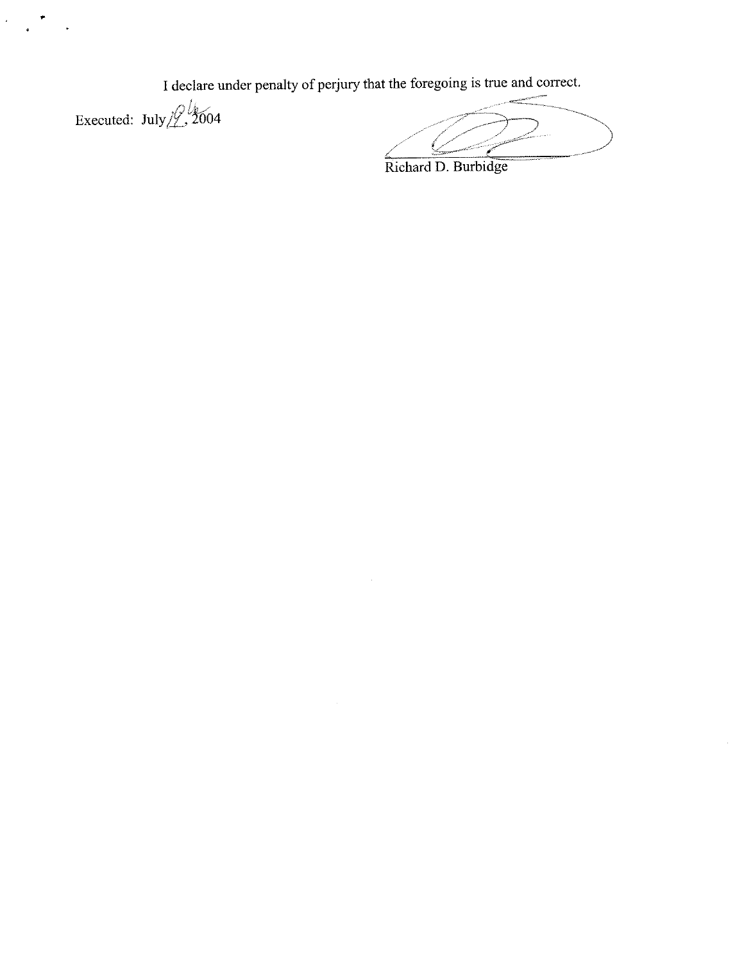I declare under penalty of perjury that the foregoing is true and correct.

**<sup>J</sup>**!, xecuted: July  $\frac{1}{2}$ ,  $\frac{200}{4}$ 

 $\mathbf{v}_i$ 

 $\frac{1}{\sqrt{2}}$ 

 $\hat{A}$ 

Richard D. Burbidge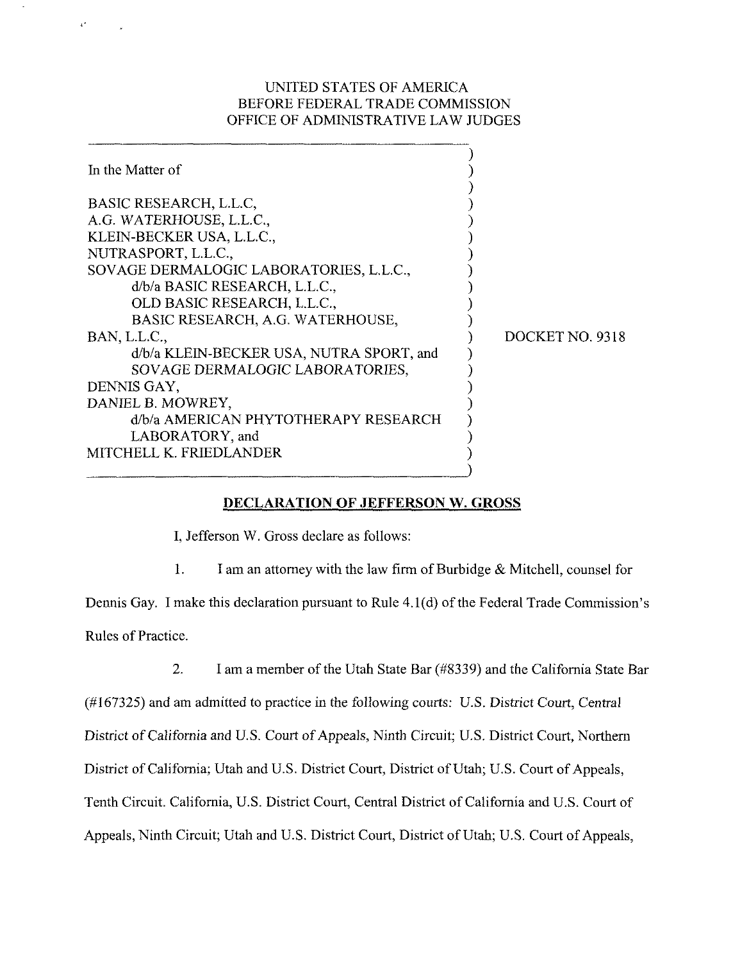### UNITED STATES OF AMERICA BEFORE FEDERAL TRADE COMMISSION OFFICE OF ADMINISTRATIVE LAW JUDGES

 $\mathbf{r}$ 

| In the Matter of                                                                                                                                                                                                                                                                                                                                                                                                                                   |                 |
|----------------------------------------------------------------------------------------------------------------------------------------------------------------------------------------------------------------------------------------------------------------------------------------------------------------------------------------------------------------------------------------------------------------------------------------------------|-----------------|
| BASIC RESEARCH, L.L.C,<br>A.G. WATERHOUSE, L.L.C.,<br>KLEIN-BECKER USA, L.L.C.,<br>NUTRASPORT, L.L.C.<br>SOVAGE DERMALOGIC LABORATORIES, L.L.C.,<br>d/b/a BASIC RESEARCH, L.L.C.,<br>OLD BASIC RESEARCH, L.L.C.,<br>BASIC RESEARCH, A.G. WATERHOUSE,<br>BAN, L.L.C.,<br>d/b/a KLEIN-BECKER USA, NUTRA SPORT, and<br>SOVAGE DERMALOGIC LABORATORIES,<br>DENNIS GAY,<br>DANIEL B. MOWREY,<br>d/b/a AMERICAN PHYTOTHERAPY RESEARCH<br>LABORATORY, and | DOCKET NO. 9318 |
| MITCHELL K. FRIEDLANDER                                                                                                                                                                                                                                                                                                                                                                                                                            |                 |

# **DECLARATION OF JEFFERSON W. GROSS**

I, Jefferson W. Gross declare as follows:

**1.** I am an attorney with the law firm of Burbidge & Mitchell, counsel for

Dennis Gay. I make this declaration pursuant to Rule 4.l(d) of the Federal Trade Commission's Rules of Practice.

2. I am a member of the Utah State Bar (#8339) and the California State Bar

(#167325) and am admitted to practice in the following courts: U.S. District Court, Central

District of California and U.S. Court of Appeals, Ninth Circuit; U.S. District Court, Northern

District of California; Utah and US. District Court, District of Utah; U.S. Court of Appeals,

Tenth Circuit. California, U.S. District Court, Central District of California and U.S. Court of

Appeals, Ninth Circuit; Utah and U.S. District Court, District of Utah; U.S. Court of Appeals,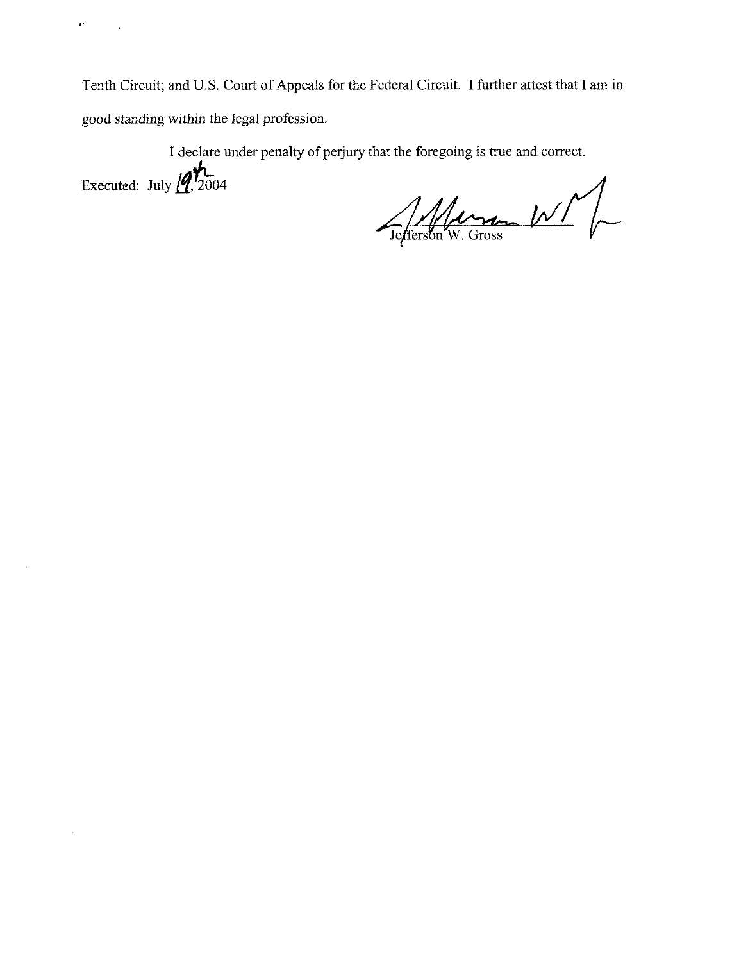Tenth Circuit; and U.S. Court of Appeals for the Federal Circuit. I further attest that I am in good standing within the legal profession.

I declare under penalty of perjury that the foregoing is true and correct.

Executed: July  $14.2004$ 

 $\ddot{\phantom{1}}$ 

 $\sim$ 

Jefferson W. Gross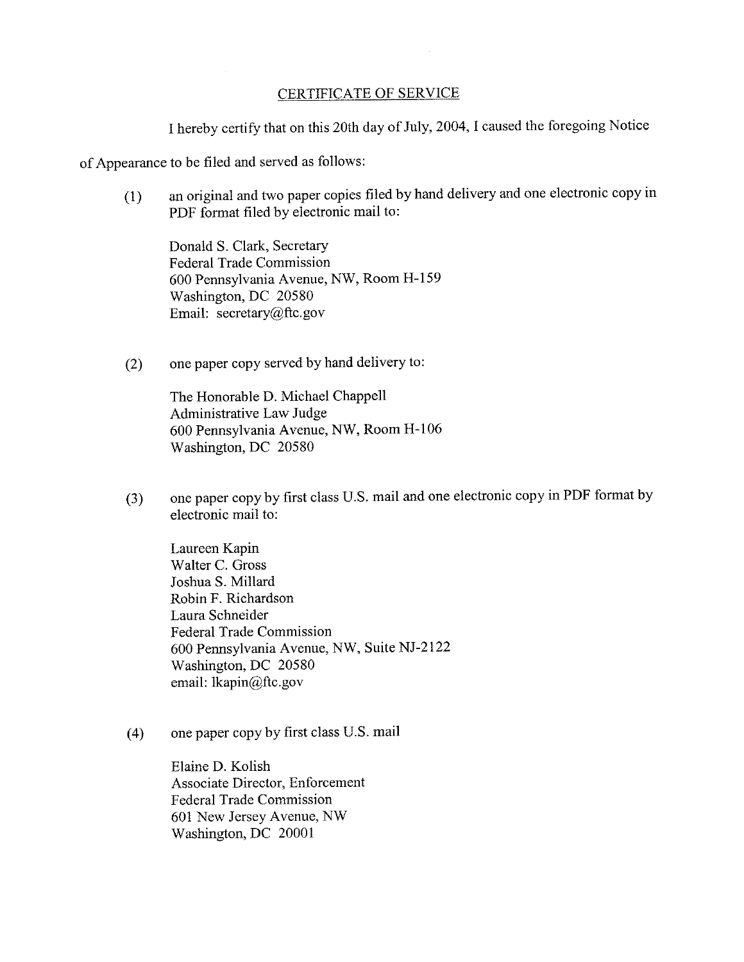#### CERTIFICATE OF SERVICE

I hereby certify that on this 20th day of July, 2004, I caused the foregoing Notice

of Appearance to be filed and served as follows:

(1) an original and two paper copies filed by hand delivery and one electronic copy in PDF format filed by electronic mail to:

Donald S. Clark, Secretary Federal Trade Commission 600 Pennsylvania Avenue, NW, Room H-159 Washington, DC 20580 Email: secretary@ftc.gov

(2) one paper copy served by hand delivery to:

The Honorable D. Michael Chappell Administrative Law Judge 600 Pennsylvania Avenue, NW, Room H-106 Washington, DC 20580

**(3)** one paper copy by first class US. mail and one electronic copy in PDF format by electronic mail to:

Laureen Kapin Walter C. Gross Joshua S. Millard Robin F. Richardson Laura Schneider Federal Trade Commission 600 Pennsylvania Avenue, NW, Suite NJ-2122 Washington, DC 20580 email: lkapin@ftc.gov

(4) one paper copy by first class US. mail

Elaine D. Kolish Associate Director, Enforcement Federal Trade Commission 601 New Jersey Avenue, NW Washington, DC 20001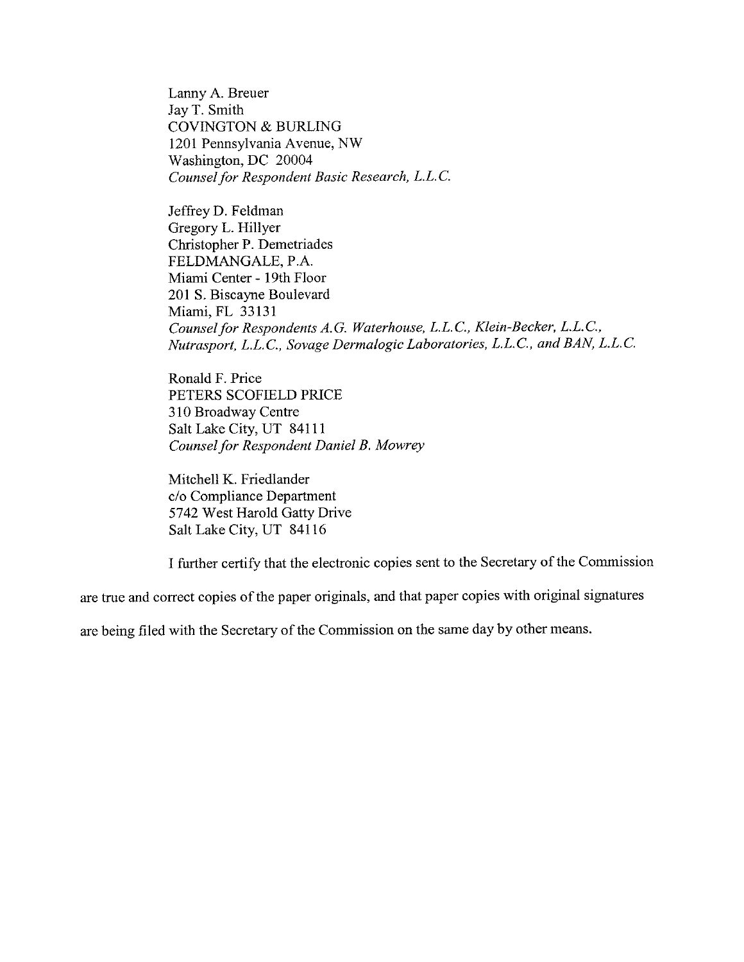Lanny A. Breuer Jay T. Smith COVINGTON & BURLING 1201 Pennsylvania Avenue, NW Washington, DC 20004 *Counsel for Respondent Basic Research, L.L. C.* 

Jeffrey D. Feldman Gregory L. Hillyer Christopher P. Demetriades FELDMANGALE, P.A. Miami Center - 19th Floor 201 S. Biscayne Boulevard Miami, FL 33131 *Counsel for Respondents A.G. Waterhouse, L.L.C., Klein-Becker, L.L.C., Nutrasport, L.L. C., Sovage Dermalogic Laboratories, L. L. C., and BAN, L.L. C.* 

Ronald F. Price PETERS SCOFIELD PRICE 3 10 Broadway Centre Salt Lake City, UT 84111 *Counsel for Respondent Daniel B. Mowrey* 

Mitchell K. Friedlander c/o Compliance Department 5742 West Harold Gatty Drive Salt Lake City, UT 841 16

I further certify that the electronic copies sent to the Secretary of the Commission

are true and correct copies of the paper originals, and that paper copies with original signatures

are being filed with the Secretary of the Commission on the same day by other means.